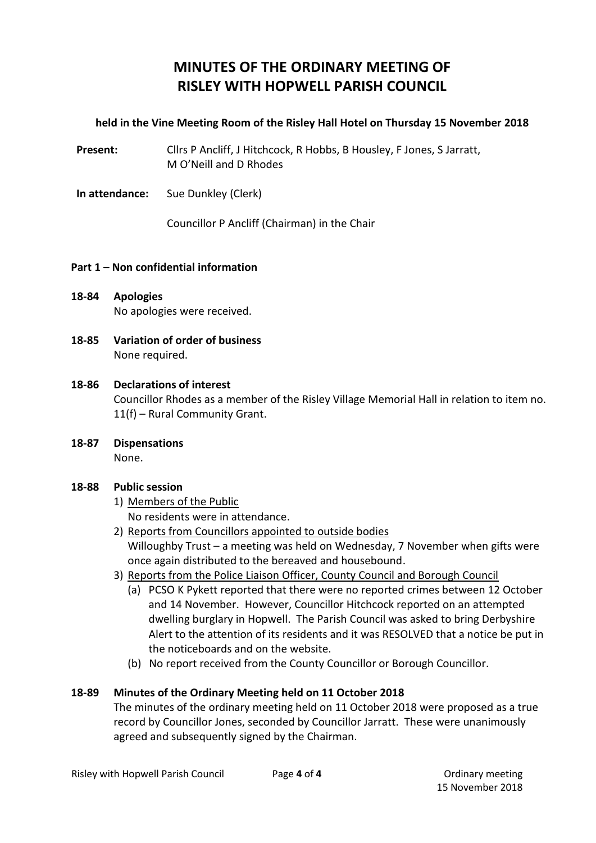# **MINUTES OF THE ORDINARY MEETING OF RISLEY WITH HOPWELL PARISH COUNCIL**

# **held in the Vine Meeting Room of the Risley Hall Hotel on Thursday 15 November 2018**

**Present:** Cllrs P Ancliff, J Hitchcock, R Hobbs, B Housley, F Jones, S Jarratt, M O'Neill and D Rhodes

**In attendance:** Sue Dunkley (Clerk)

Councillor P Ancliff (Chairman) in the Chair

### **Part 1 – Non confidential information**

- **18-84 Apologies** No apologies were received.
- **18-85 Variation of order of business** None required.

#### **18-86 Declarations of interest**

Councillor Rhodes as a member of the Risley Village Memorial Hall in relation to item no. 11(f) – Rural Community Grant.

**18-87 Dispensations** None.

# **18-88 Public session**

- 1) Members of the Public No residents were in attendance.
- 2) Reports from Councillors appointed to outside bodies Willoughby Trust – a meeting was held on Wednesday, 7 November when gifts were once again distributed to the bereaved and housebound.
- 3) Reports from the Police Liaison Officer, County Council and Borough Council
	- (a) PCSO K Pykett reported that there were no reported crimes between 12 October and 14 November. However, Councillor Hitchcock reported on an attempted dwelling burglary in Hopwell. The Parish Council was asked to bring Derbyshire Alert to the attention of its residents and it was RESOLVED that a notice be put in the noticeboards and on the website.
	- (b) No report received from the County Councillor or Borough Councillor.

# **18-89 Minutes of the Ordinary Meeting held on 11 October 2018**

The minutes of the ordinary meeting held on 11 October 2018 were proposed as a true record by Councillor Jones, seconded by Councillor Jarratt. These were unanimously agreed and subsequently signed by the Chairman.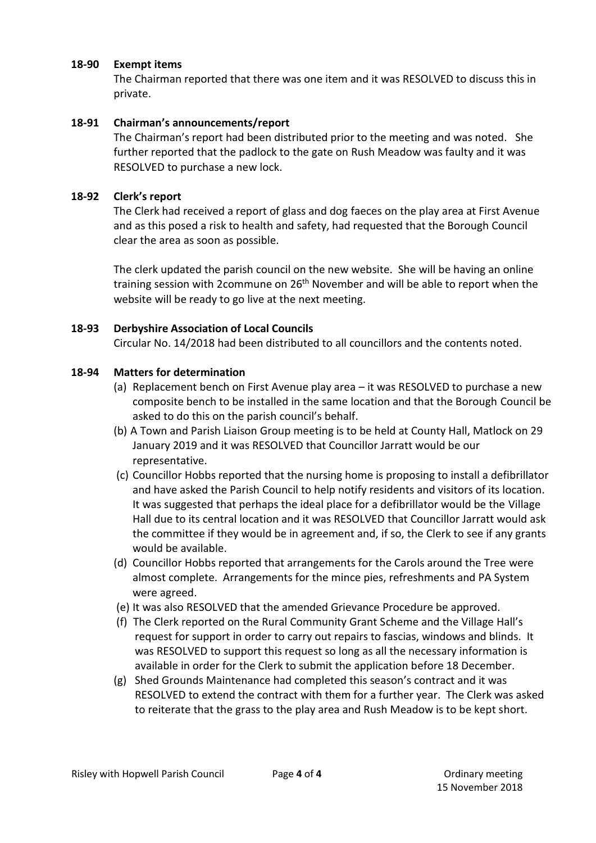## **18-90 Exempt items**

The Chairman reported that there was one item and it was RESOLVED to discuss this in private.

## **18-91 Chairman's announcements/report**

The Chairman's report had been distributed prior to the meeting and was noted. She further reported that the padlock to the gate on Rush Meadow was faulty and it was RESOLVED to purchase a new lock.

### **18-92 Clerk's report**

The Clerk had received a report of glass and dog faeces on the play area at First Avenue and as this posed a risk to health and safety, had requested that the Borough Council clear the area as soon as possible.

The clerk updated the parish council on the new website. She will be having an online training session with 2commune on 26<sup>th</sup> November and will be able to report when the website will be ready to go live at the next meeting.

### **18-93 Derbyshire Association of Local Councils**

Circular No. 14/2018 had been distributed to all councillors and the contents noted.

### **18-94 Matters for determination**

- (a) Replacement bench on First Avenue play area it was RESOLVED to purchase a new composite bench to be installed in the same location and that the Borough Council be asked to do this on the parish council's behalf.
- (b) A Town and Parish Liaison Group meeting is to be held at County Hall, Matlock on 29 January 2019 and it was RESOLVED that Councillor Jarratt would be our representative.
- (c) Councillor Hobbs reported that the nursing home is proposing to install a defibrillator and have asked the Parish Council to help notify residents and visitors of its location. It was suggested that perhaps the ideal place for a defibrillator would be the Village Hall due to its central location and it was RESOLVED that Councillor Jarratt would ask the committee if they would be in agreement and, if so, the Clerk to see if any grants would be available.
- (d) Councillor Hobbs reported that arrangements for the Carols around the Tree were almost complete. Arrangements for the mince pies, refreshments and PA System were agreed.
- (e) It was also RESOLVED that the amended Grievance Procedure be approved.
- (f) The Clerk reported on the Rural Community Grant Scheme and the Village Hall's request for support in order to carry out repairs to fascias, windows and blinds. It was RESOLVED to support this request so long as all the necessary information is available in order for the Clerk to submit the application before 18 December.
- (g) Shed Grounds Maintenance had completed this season's contract and it was RESOLVED to extend the contract with them for a further year. The Clerk was asked to reiterate that the grass to the play area and Rush Meadow is to be kept short.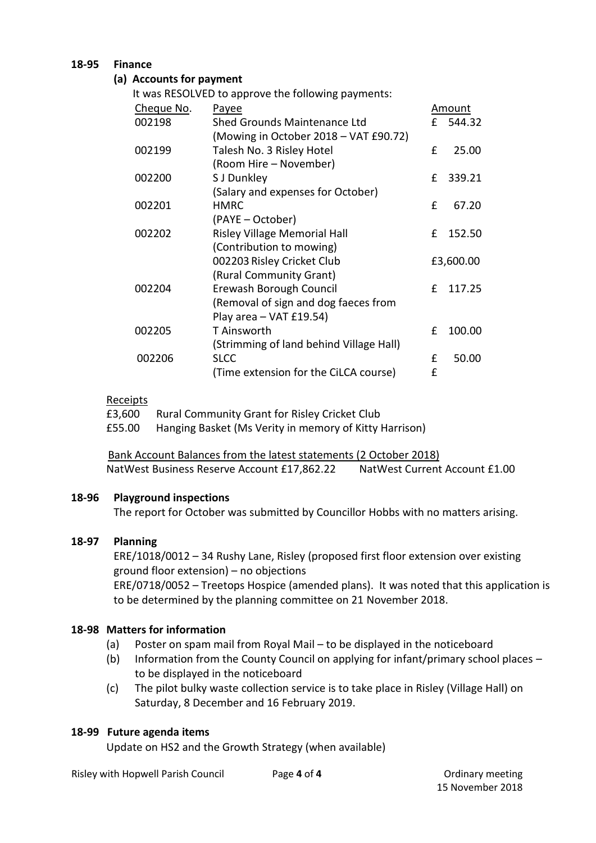## **18-95 Finance**

## **(a) Accounts for payment**

It was RESOLVED to approve the following payments:

| Cheque No. | Payee                                   |   | Amount    |
|------------|-----------------------------------------|---|-----------|
| 002198     | Shed Grounds Maintenance Ltd            | £ | 544.32    |
|            | (Mowing in October 2018 – VAT £90.72)   |   |           |
| 002199     | Talesh No. 3 Risley Hotel               | f | 25.00     |
|            | (Room Hire – November)                  |   |           |
| 002200     | S J Dunkley                             | £ | 339.21    |
|            | (Salary and expenses for October)       |   |           |
| 002201     | <b>HMRC</b>                             | £ | 67.20     |
|            | (PAYE - October)                        |   |           |
| 002202     | Risley Village Memorial Hall            | £ | 152.50    |
|            | (Contribution to mowing)                |   |           |
|            | 002203 Risley Cricket Club              |   | £3,600.00 |
|            | (Rural Community Grant)                 |   |           |
| 002204     | Erewash Borough Council                 | f | 117.25    |
|            | (Removal of sign and dog faeces from    |   |           |
|            | Play area - VAT £19.54)                 |   |           |
| 002205     | T Ainsworth                             | £ | 100.00    |
|            | (Strimming of land behind Village Hall) |   |           |
| 002206     | <b>SLCC</b>                             | £ | 50.00     |
|            | (Time extension for the CiLCA course)   | £ |           |

#### Receipts

£3,600 Rural Community Grant for Risley Cricket Club

£55.00 Hanging Basket (Ms Verity in memory of Kitty Harrison)

 Bank Account Balances from the latest statements (2 October 2018) NatWest Business Reserve Account £17,862.22 NatWest Current Account £1.00

# **18-96 Playground inspections**

The report for October was submitted by Councillor Hobbs with no matters arising.

# **18-97 Planning**

ERE/1018/0012 – 34 Rushy Lane, Risley (proposed first floor extension over existing ground floor extension) – no objections ERE/0718/0052 – Treetops Hospice (amended plans). It was noted that this application is to be determined by the planning committee on 21 November 2018.

# **18-98 Matters for information**

- (a) Poster on spam mail from Royal Mail to be displayed in the noticeboard
- (b) Information from the County Council on applying for infant/primary school places to be displayed in the noticeboard
- (c) The pilot bulky waste collection service is to take place in Risley (Village Hall) on Saturday, 8 December and 16 February 2019.

# **18-99 Future agenda items**

Update on HS2 and the Growth Strategy (when available)